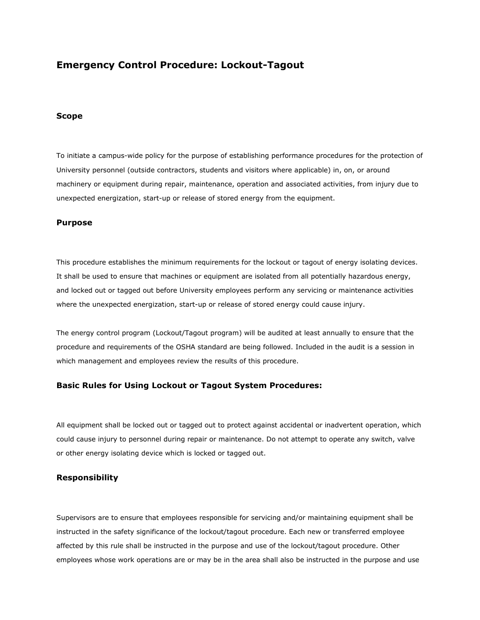# **Emergency Control Procedure: Lockout-Tagout**

#### **Scope**

To initiate a campus-wide policy for the purpose of establishing performance procedures for the protection of University personnel (outside contractors, students and visitors where applicable) in, on, or around machinery or equipment during repair, maintenance, operation and associated activities, from injury due to unexpected energization, start-up or release of stored energy from the equipment.

#### **Purpose**

This procedure establishes the minimum requirements for the lockout or tagout of energy isolating devices. It shall be used to ensure that machines or equipment are isolated from all potentially hazardous energy, and locked out or tagged out before University employees perform any servicing or maintenance activities where the unexpected energization, start-up or release of stored energy could cause injury.

The energy control program (Lockout/Tagout program) will be audited at least annually to ensure that the procedure and requirements of the OSHA standard are being followed. Included in the audit is a session in which management and employees review the results of this procedure.

### **Basic Rules for Using Lockout or Tagout System Procedures:**

All equipment shall be locked out or tagged out to protect against accidental or inadvertent operation, which could cause injury to personnel during repair or maintenance. Do not attempt to operate any switch, valve or other energy isolating device which is locked or tagged out.

### **Responsibility**

Supervisors are to ensure that employees responsible for servicing and/or maintaining equipment shall be instructed in the safety significance of the lockout/tagout procedure. Each new or transferred employee affected by this rule shall be instructed in the purpose and use of the lockout/tagout procedure. Other employees whose work operations are or may be in the area shall also be instructed in the purpose and use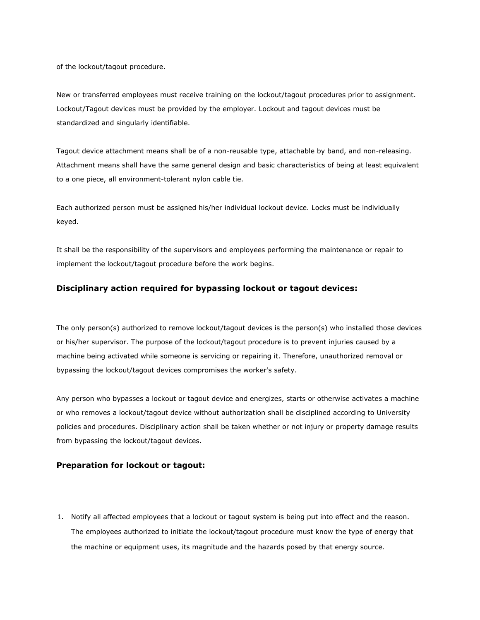of the lockout/tagout procedure.

New or transferred employees must receive training on the lockout/tagout procedures prior to assignment. Lockout/Tagout devices must be provided by the employer. Lockout and tagout devices must be standardized and singularly identifiable.

Tagout device attachment means shall be of a non-reusable type, attachable by band, and non-releasing. Attachment means shall have the same general design and basic characteristics of being at least equivalent to a one piece, all environment-tolerant nylon cable tie.

Each authorized person must be assigned his/her individual lockout device. Locks must be individually keyed.

It shall be the responsibility of the supervisors and employees performing the maintenance or repair to implement the lockout/tagout procedure before the work begins.

### **Disciplinary action required for bypassing lockout or tagout devices:**

The only person(s) authorized to remove lockout/tagout devices is the person(s) who installed those devices or his/her supervisor. The purpose of the lockout/tagout procedure is to prevent injuries caused by a machine being activated while someone is servicing or repairing it. Therefore, unauthorized removal or bypassing the lockout/tagout devices compromises the worker's safety.

Any person who bypasses a lockout or tagout device and energizes, starts or otherwise activates a machine or who removes a lockout/tagout device without authorization shall be disciplined according to University policies and procedures. Disciplinary action shall be taken whether or not injury or property damage results from bypassing the lockout/tagout devices.

### **Preparation for lockout or tagout:**

1. Notify all affected employees that a lockout or tagout system is being put into effect and the reason. The employees authorized to initiate the lockout/tagout procedure must know the type of energy that the machine or equipment uses, its magnitude and the hazards posed by that energy source.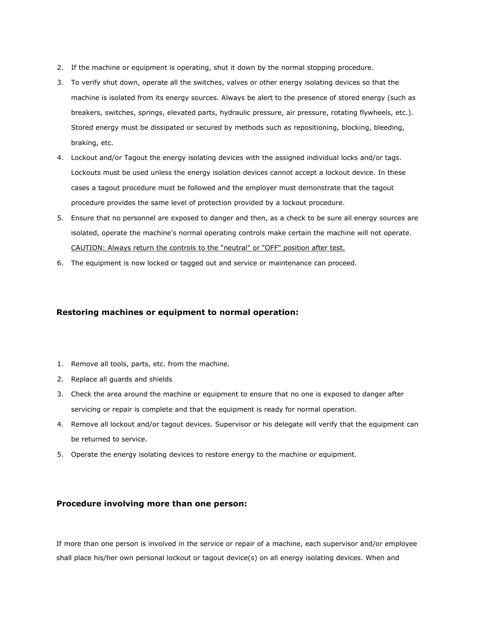- 2. If the machine or equipment is operating, shut it down by the normal stopping procedure.
- 3. To verify shut down, operate all the switches, valves or other energy isolating devices so that the machine is isolated from its energy sources. Always be alert to the presence of stored energy (such as breakers, switches, springs, elevated parts, hydraulic pressure, air pressure, rotating flywheels, etc.). Stored energy must be dissipated or secured by methods such as repositioning, blocking, bleeding, braking, etc.
- 4. Lockout and/or Tagout the energy isolating devices with the assigned individual locks and/or tags. Lockouts must be used unless the energy isolation devices cannot accept a lockout device. In these cases a tagout procedure must be followed and the employer must demonstrate that the tagout procedure provides the same level of protection provided by a lockout procedure.
- 5. Ensure that no personnel are exposed to danger and then, as a check to be sure all energy sources are isolated, operate the machine's normal operating controls make certain the machine will not operate. CAUTION: Always return the controls to the "neutral" or "OFF" position after test.
- 6. The equipment is now locked or tagged out and service or maintenance can proceed.

### **Restoring machines or equipment to normal operation:**

- 1. Remove all tools, parts, etc. from the machine.
- 2. Replace all guards and shields
- 3. Check the area around the machine or equipment to ensure that no one is exposed to danger after servicing or repair is complete and that the equipment is ready for normal operation.
- 4. Remove all lockout and/or tagout devices. Supervisor or his delegate will verify that the equipment can be returned to service.
- 5. Operate the energy isolating devices to restore energy to the machine or equipment.

### **Procedure involving more than one person:**

If more than one person is involved in the service or repair of a machine, each supervisor and/or employee shall place his/her own personal lockout or tagout device(s) on all energy isolating devices. When and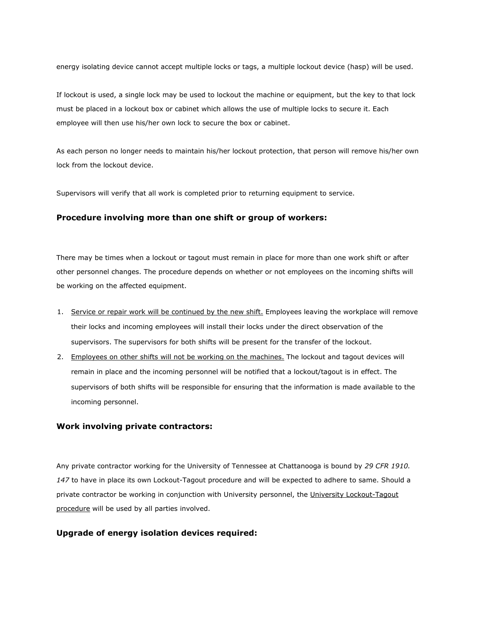energy isolating device cannot accept multiple locks or tags, a multiple lockout device (hasp) will be used.

If lockout is used, a single lock may be used to lockout the machine or equipment, but the key to that lock must be placed in a lockout box or cabinet which allows the use of multiple locks to secure it. Each employee will then use his/her own lock to secure the box or cabinet.

As each person no longer needs to maintain his/her lockout protection, that person will remove his/her own lock from the lockout device.

Supervisors will verify that all work is completed prior to returning equipment to service.

#### **Procedure involving more than one shift or group of workers:**

There may be times when a lockout or tagout must remain in place for more than one work shift or after other personnel changes. The procedure depends on whether or not employees on the incoming shifts will be working on the affected equipment.

- 1. Service or repair work will be continued by the new shift. Employees leaving the workplace will remove their locks and incoming employees will install their locks under the direct observation of the supervisors. The supervisors for both shifts will be present for the transfer of the lockout.
- 2. Employees on other shifts will not be working on the machines. The lockout and tagout devices will remain in place and the incoming personnel will be notified that a lockout/tagout is in effect. The supervisors of both shifts will be responsible for ensuring that the information is made available to the incoming personnel.

#### **Work involving private contractors:**

Any private contractor working for the University of Tennessee at Chattanooga is bound by *29 CFR 1910. 147* to have in place its own Lockout-Tagout procedure and will be expected to adhere to same. Should a private contractor be working in conjunction with University personnel, the University Lockout-Tagout procedure will be used by all parties involved.

#### **Upgrade of energy isolation devices required:**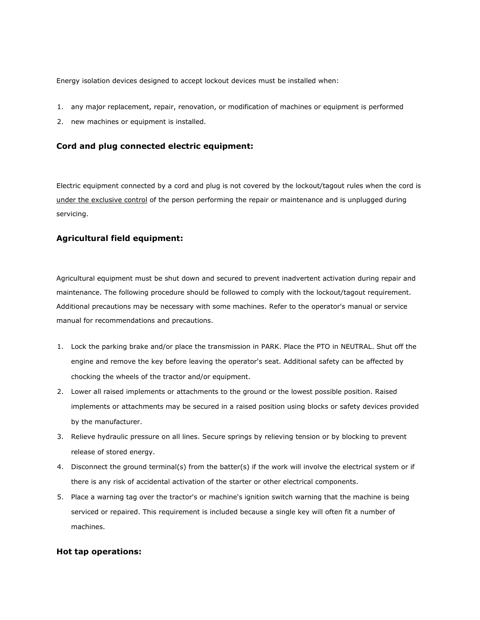Energy isolation devices designed to accept lockout devices must be installed when:

- 1. any major replacement, repair, renovation, or modification of machines or equipment is performed
- 2. new machines or equipment is installed.

#### **Cord and plug connected electric equipment:**

Electric equipment connected by a cord and plug is not covered by the lockout/tagout rules when the cord is under the exclusive control of the person performing the repair or maintenance and is unplugged during servicing.

### **Agricultural field equipment:**

Agricultural equipment must be shut down and secured to prevent inadvertent activation during repair and maintenance. The following procedure should be followed to comply with the lockout/tagout requirement. Additional precautions may be necessary with some machines. Refer to the operator's manual or service manual for recommendations and precautions.

- 1. Lock the parking brake and/or place the transmission in PARK. Place the PTO in NEUTRAL. Shut off the engine and remove the key before leaving the operator's seat. Additional safety can be affected by chocking the wheels of the tractor and/or equipment.
- 2. Lower all raised implements or attachments to the ground or the lowest possible position. Raised implements or attachments may be secured in a raised position using blocks or safety devices provided by the manufacturer.
- 3. Relieve hydraulic pressure on all lines. Secure springs by relieving tension or by blocking to prevent release of stored energy.
- 4. Disconnect the ground terminal(s) from the batter(s) if the work will involve the electrical system or if there is any risk of accidental activation of the starter or other electrical components.
- 5. Place a warning tag over the tractor's or machine's ignition switch warning that the machine is being serviced or repaired. This requirement is included because a single key will often fit a number of machines.

#### **Hot tap operations:**